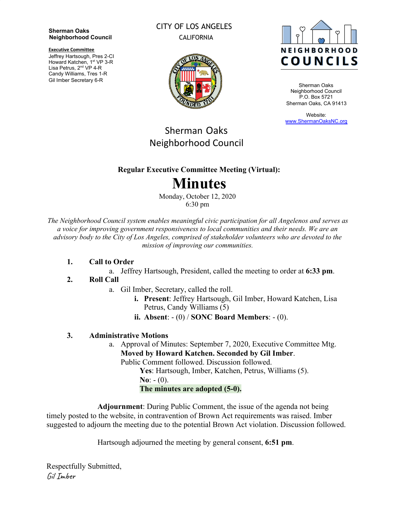**Sherman Oaks Neighborhood Council**

**Executive Committee**

Jeffrey Hartsough, Pres 2-CI Howard Katchen, 1<sup>st</sup> VP 3-R Lisa Petrus, 2<sup>nd</sup> VP 4-R Candy Williams, Tres 1-R Gil Imber Secretary 6-R

### CITY OF LOS ANGELES CALIFORNIA





Sherman Oaks Neighborhood Council P.O. Box 5721 Sherman Oaks, CA 91413

Website: [www.ShermanOaksNC.org](http://www.shermanoaksnc.org/)

## Sherman Oaks Neighborhood Council

### **Regular Executive Committee Meeting (Virtual):**

# **Minutes**

Monday, October 12, 2020 6:30 pm

*The Neighborhood Council system enables meaningful civic participation for all Angelenos and serves as a voice for improving government responsiveness to local communities and their needs. We are an advisory body to the City of Los Angeles, comprised of stakeholder volunteers who are devoted to the mission of improving our communities.*

#### **1. Call to Order**

a. Jeffrey Hartsough, President, called the meeting to order at **6:33 pm**.

### **2. Roll Call**

- a. Gil Imber, Secretary, called the roll.
	- **i. Present**: Jeffrey Hartsough, Gil Imber, Howard Katchen, Lisa Petrus, Candy Williams (5)
	- **ii. Absent**: (0) / **SONC Board Members**: (0).

### **3. Administrative Motions**

a. Approval of Minutes: September 7, 2020, Executive Committee Mtg. **Moved by Howard Katchen. Seconded by Gil Imber**.

Public Comment followed. Discussion followed.

**Yes**: Hartsough, Imber, Katchen, Petrus, Williams (5).  $N_0$ :  $- (0)$ .

**The minutes are adopted (5-0).**

**Adjournment**: During Public Comment, the issue of the agenda not being timely posted to the website, in contravention of Brown Act requirements was raised. Imber suggested to adjourn the meeting due to the potential Brown Act violation. Discussion followed.

Hartsough adjourned the meeting by general consent, **6:51 pm**.

Respectfully Submitted, Gil Imber